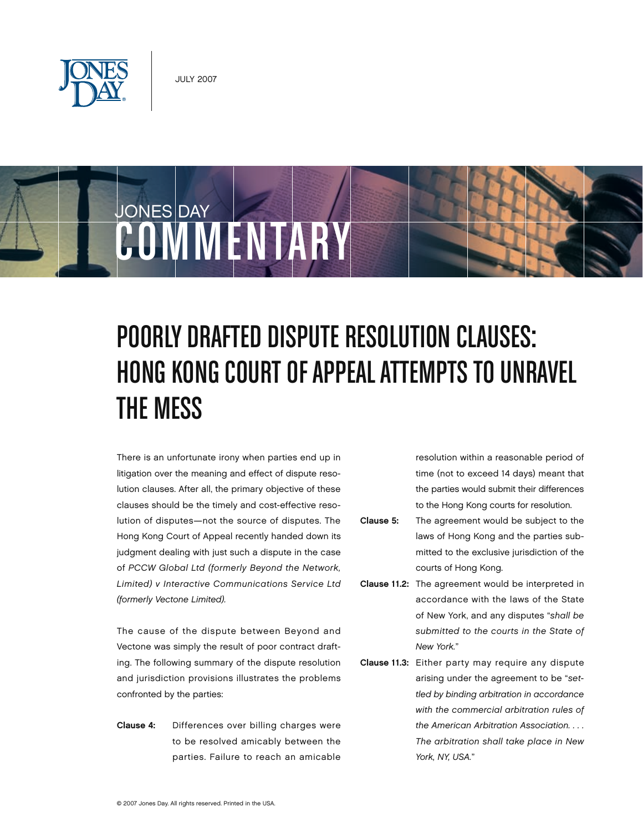



# Poorly Drafted Dispute Resolution Clauses: HONG KONG COURT OF APPEAL ATTEMPTS TO UNRAVEL the Mess

There is an unfortunate irony when parties end up in litigation over the meaning and effect of dispute resolution clauses. After all, the primary objective of these clauses should be the timely and cost-effective resolution of disputes—not the source of disputes. The Hong Kong Court of Appeal recently handed down its judgment dealing with just such a dispute in the case of *PCCW Global Ltd (formerly Beyond the Network, Limited) v Interactive Communications Service Ltd (formerly Vectone Limited).*

The cause of the dispute between Beyond and Vectone was simply the result of poor contract drafting. The following summary of the dispute resolution and jurisdiction provisions illustrates the problems confronted by the parties:

Clause 4: Differences over billing charges were to be resolved amicably between the parties. Failure to reach an amicable

resolution within a reasonable period of time (not to exceed 14 days) meant that the parties would submit their differences to the Hong Kong courts for resolution.

- Clause 5: The agreement would be subject to the laws of Hong Kong and the parties submitted to the exclusive jurisdiction of the courts of Hong Kong.
- Clause 11.2: The agreement would be interpreted in accordance with the laws of the State of New York, and any disputes "*shall be submitted to the courts in the State of New York.*"
- Clause 11.3: Either party may require any dispute arising under the agreement to be "*settled by binding arbitration in accordance with the commercial arbitration rules of the American Arbitration Association. . . . The arbitration shall take place in New York, NY, USA.*"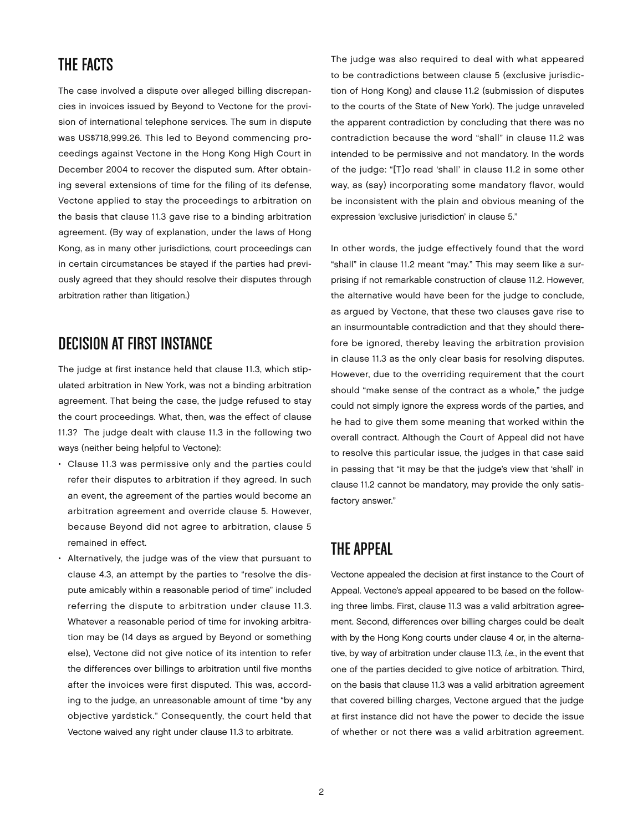### The Facts

The case involved a dispute over alleged billing discrepancies in invoices issued by Beyond to Vectone for the provision of international telephone services. The sum in dispute was US\$718,999.26. This led to Beyond commencing proceedings against Vectone in the Hong Kong High Court in December 2004 to recover the disputed sum. After obtaining several extensions of time for the filing of its defense, Vectone applied to stay the proceedings to arbitration on the basis that clause 11.3 gave rise to a binding arbitration agreement. (By way of explanation, under the laws of Hong Kong, as in many other jurisdictions, court proceedings can in certain circumstances be stayed if the parties had previously agreed that they should resolve their disputes through arbitration rather than litigation.)

## DECISION AT FIRST INSTANCE

The judge at first instance held that clause 11.3, which stipulated arbitration in New York, was not a binding arbitration agreement. That being the case, the judge refused to stay the court proceedings. What, then, was the effect of clause 11.3? The judge dealt with clause 11.3 in the following two ways (neither being helpful to Vectone):

- Clause 11.3 was permissive only and the parties could refer their disputes to arbitration if they agreed. In such an event, the agreement of the parties would become an arbitration agreement and override clause 5. However, because Beyond did not agree to arbitration, clause 5 remained in effect.
- Alternatively, the judge was of the view that pursuant to clause 4.3, an attempt by the parties to "resolve the dispute amicably within a reasonable period of time" included referring the dispute to arbitration under clause 11.3. Whatever a reasonable period of time for invoking arbitration may be (14 days as argued by Beyond or something else), Vectone did not give notice of its intention to refer the differences over billings to arbitration until five months after the invoices were first disputed. This was, according to the judge, an unreasonable amount of time "by any objective yardstick." Consequently, the court held that Vectone waived any right under clause 11.3 to arbitrate.

The judge was also required to deal with what appeared to be contradictions between clause 5 (exclusive jurisdiction of Hong Kong) and clause 11.2 (submission of disputes to the courts of the State of New York). The judge unraveled the apparent contradiction by concluding that there was no contradiction because the word "shall" in clause 11.2 was intended to be permissive and not mandatory. In the words of the judge: "[T]o read 'shall' in clause 11.2 in some other way, as (say) incorporating some mandatory flavor, would be inconsistent with the plain and obvious meaning of the expression 'exclusive jurisdiction' in clause 5."

In other words, the judge effectively found that the word "shall" in clause 11.2 meant "may." This may seem like a surprising if not remarkable construction of clause 11.2. However, the alternative would have been for the judge to conclude, as argued by Vectone, that these two clauses gave rise to an insurmountable contradiction and that they should therefore be ignored, thereby leaving the arbitration provision in clause 11.3 as the only clear basis for resolving disputes. However, due to the overriding requirement that the court should "make sense of the contract as a whole," the judge could not simply ignore the express words of the parties, and he had to give them some meaning that worked within the overall contract. Although the Court of Appeal did not have to resolve this particular issue, the judges in that case said in passing that "it may be that the judge's view that 'shall' in clause 11.2 cannot be mandatory, may provide the only satisfactory answer."

### The Appeal

Vectone appealed the decision at first instance to the Court of Appeal. Vectone's appeal appeared to be based on the following three limbs. First, clause 11.3 was a valid arbitration agreement. Second, differences over billing charges could be dealt with by the Hong Kong courts under clause 4 or, in the alternative, by way of arbitration under clause 11.3, *i.e.*, in the event that one of the parties decided to give notice of arbitration. Third, on the basis that clause 11.3 was a valid arbitration agreement that covered billing charges, Vectone argued that the judge at first instance did not have the power to decide the issue of whether or not there was a valid arbitration agreement.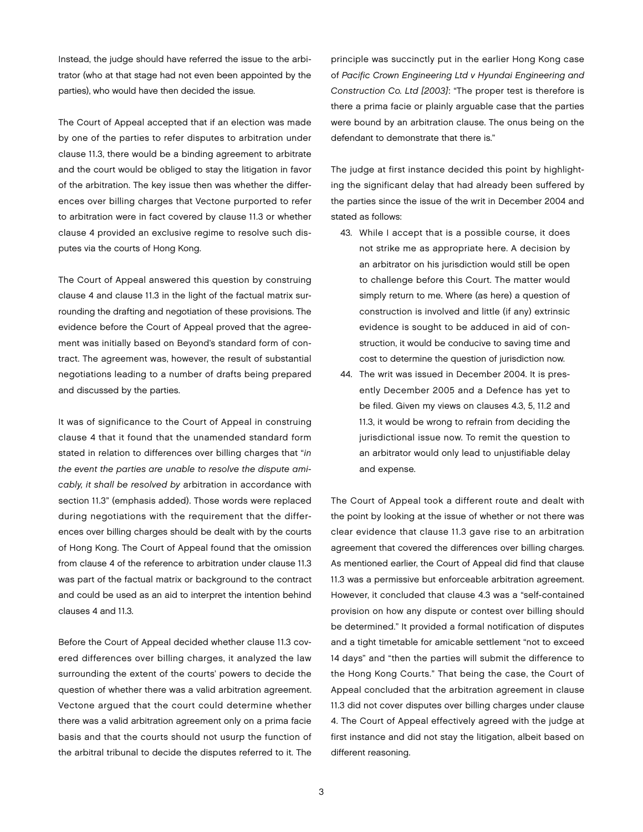Instead, the judge should have referred the issue to the arbitrator (who at that stage had not even been appointed by the parties), who would have then decided the issue.

The Court of Appeal accepted that if an election was made by one of the parties to refer disputes to arbitration under clause 11.3, there would be a binding agreement to arbitrate and the court would be obliged to stay the litigation in favor of the arbitration. The key issue then was whether the differences over billing charges that Vectone purported to refer to arbitration were in fact covered by clause 11.3 or whether clause 4 provided an exclusive regime to resolve such disputes via the courts of Hong Kong.

The Court of Appeal answered this question by construing clause 4 and clause 11.3 in the light of the factual matrix surrounding the drafting and negotiation of these provisions. The evidence before the Court of Appeal proved that the agreement was initially based on Beyond's standard form of contract. The agreement was, however, the result of substantial negotiations leading to a number of drafts being prepared and discussed by the parties.

It was of significance to the Court of Appeal in construing clause 4 that it found that the unamended standard form stated in relation to differences over billing charges that "*in the event the parties are unable to resolve the dispute amicably, it shall be resolved by* arbitration in accordance with section 11.3" (emphasis added). Those words were replaced during negotiations with the requirement that the differences over billing charges should be dealt with by the courts of Hong Kong. The Court of Appeal found that the omission from clause 4 of the reference to arbitration under clause 11.3 was part of the factual matrix or background to the contract and could be used as an aid to interpret the intention behind clauses 4 and 11.3.

Before the Court of Appeal decided whether clause 11.3 covered differences over billing charges, it analyzed the law surrounding the extent of the courts' powers to decide the question of whether there was a valid arbitration agreement. Vectone argued that the court could determine whether there was a valid arbitration agreement only on a prima facie basis and that the courts should not usurp the function of the arbitral tribunal to decide the disputes referred to it. The

principle was succinctly put in the earlier Hong Kong case of *Pacific Crown Engineering Ltd v Hyundai Engineering and Construction Co. Ltd [2003]*: "The proper test is therefore is there a prima facie or plainly arguable case that the parties were bound by an arbitration clause. The onus being on the defendant to demonstrate that there is."

The judge at first instance decided this point by highlighting the significant delay that had already been suffered by the parties since the issue of the writ in December 2004 and stated as follows:

- 43. While I accept that is a possible course, it does not strike me as appropriate here. A decision by an arbitrator on his jurisdiction would still be open to challenge before this Court. The matter would simply return to me. Where (as here) a question of construction is involved and little (if any) extrinsic evidence is sought to be adduced in aid of construction, it would be conducive to saving time and cost to determine the question of jurisdiction now.
- 44. The writ was issued in December 2004. It is presently December 2005 and a Defence has yet to be filed. Given my views on clauses 4.3, 5, 11.2 and 11.3, it would be wrong to refrain from deciding the jurisdictional issue now. To remit the question to an arbitrator would only lead to unjustifiable delay and expense.

The Court of Appeal took a different route and dealt with the point by looking at the issue of whether or not there was clear evidence that clause 11.3 gave rise to an arbitration agreement that covered the differences over billing charges. As mentioned earlier, the Court of Appeal did find that clause 11.3 was a permissive but enforceable arbitration agreement. However, it concluded that clause 4.3 was a "self-contained provision on how any dispute or contest over billing should be determined." It provided a formal notification of disputes and a tight timetable for amicable settlement "not to exceed 14 days" and "then the parties will submit the difference to the Hong Kong Courts." That being the case, the Court of Appeal concluded that the arbitration agreement in clause 11.3 did not cover disputes over billing charges under clause 4. The Court of Appeal effectively agreed with the judge at first instance and did not stay the litigation, albeit based on different reasoning.